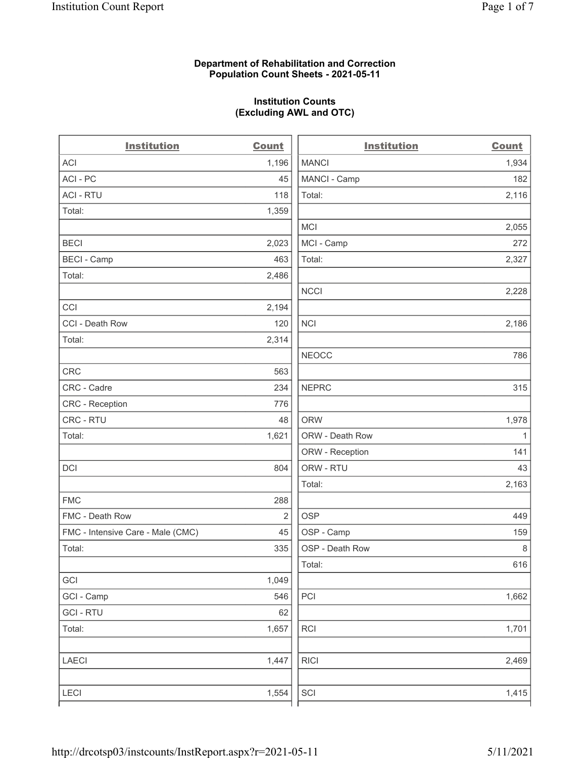## Department of Rehabilitation and Correction Population Count Sheets - 2021-05-11

## Institution Counts (Excluding AWL and OTC)

| <b>Institution</b>                | <b>Count</b> | <b>Institution</b>          | <b>Count</b> |
|-----------------------------------|--------------|-----------------------------|--------------|
| ACI                               | 1,196        | <b>MANCI</b>                | 1,934        |
| ACI-PC                            | 45           | MANCI - Camp                | 182          |
| <b>ACI - RTU</b>                  | 118          | Total:                      | 2,116        |
| Total:                            | 1,359        |                             |              |
|                                   |              | <b>MCI</b>                  | 2,055        |
| <b>BECI</b>                       | 2,023        | MCI - Camp                  | 272          |
| <b>BECI - Camp</b>                | 463          | Total:                      | 2,327        |
| Total:                            | 2,486        |                             |              |
|                                   |              | <b>NCCI</b>                 | 2,228        |
| CCI                               | 2,194        |                             |              |
| CCI - Death Row                   | 120          | <b>NCI</b>                  | 2,186        |
| Total:                            | 2,314        |                             |              |
|                                   |              | <b>NEOCC</b>                | 786          |
| <b>CRC</b>                        | 563          |                             |              |
| CRC - Cadre                       | 234          | <b>NEPRC</b>                | 315          |
| <b>CRC</b> - Reception            | 776          |                             |              |
| CRC - RTU                         | 48           | <b>ORW</b>                  | 1,978        |
| Total:                            | 1,621        | ORW - Death Row             | 1            |
|                                   |              | ORW - Reception             | 141          |
| DCI                               | 804          | ORW - RTU                   | 43           |
|                                   |              | Total:                      | 2,163        |
| <b>FMC</b>                        | 288          |                             |              |
| FMC - Death Row                   | 2            | <b>OSP</b>                  | 449          |
| FMC - Intensive Care - Male (CMC) | 45           | OSP - Camp                  | 159          |
| Total:                            | 335          | OSP - Death Row             | 8            |
|                                   |              | Total:                      | 616          |
| GCI                               | 1,049        |                             |              |
| GCI - Camp                        | 546          | PCI                         | 1,662        |
| <b>GCI-RTU</b>                    | 62           |                             |              |
| Total:                            | 1,657        | <b>RCI</b>                  | 1,701        |
| <b>LAECI</b>                      | 1,447        | <b>RICI</b>                 | 2,469        |
| <b>LECI</b>                       | 1,554        | $\ensuremath{\mathsf{SCI}}$ | 1,415        |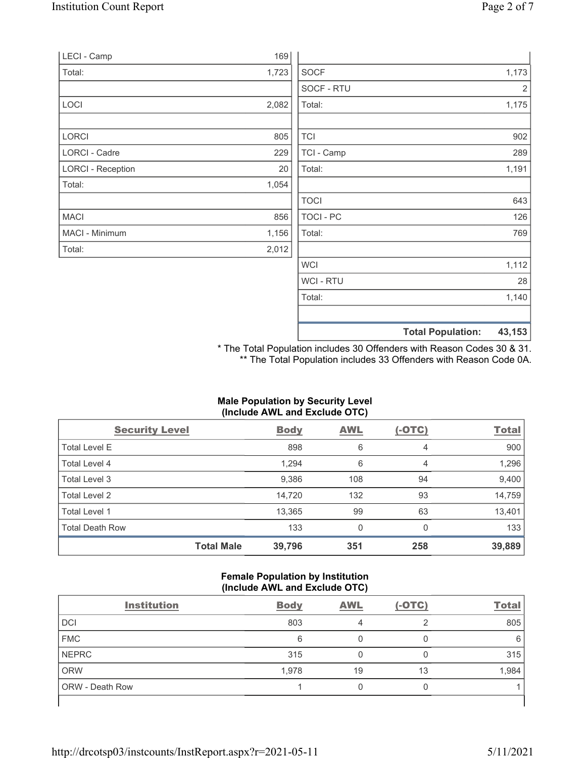| LECI - Camp              | 169   |                |       |
|--------------------------|-------|----------------|-------|
| Total:                   | 1,723 | <b>SOCF</b>    | 1,173 |
|                          |       | SOCF - RTU     | 2     |
| LOCI                     | 2,082 | Total:         | 1,175 |
| LORCI                    | 805   | <b>TCI</b>     | 902   |
| LORCI - Cadre            | 229   | TCI - Camp     | 289   |
| <b>LORCI - Reception</b> | 20    | Total:         | 1,191 |
| Total:                   | 1,054 |                |       |
|                          |       | <b>TOCI</b>    | 643   |
| <b>MACI</b>              | 856   | TOCI - PC      | 126   |
| MACI - Minimum           | 1,156 | Total:         | 769   |
| Total:                   | 2,012 |                |       |
|                          |       | <b>WCI</b>     | 1,112 |
|                          |       | <b>WCI-RTU</b> | 28    |
|                          |       | Total:         | 1,140 |

\* The Total Population includes 30 Offenders with Reason Codes 30 & 31. \*\* The Total Population includes 33 Offenders with Reason Code 0A.

Total Population: 43,153

## Male Population by Security Level (Include AWL and Exclude OTC)

| <b>Security Level</b>  |                   | <b>Body</b> | <b>AWL</b>   | $(-OTC)$ | <b>Total</b> |
|------------------------|-------------------|-------------|--------------|----------|--------------|
| <b>Total Level E</b>   |                   | 898         | 6            | 4        | 900          |
| Total Level 4          |                   | 1,294       | 6            | 4        | 1,296        |
| Total Level 3          |                   | 9,386       | 108          | 94       | 9,400        |
| Total Level 2          |                   | 14,720      | 132          | 93       | 14,759       |
| Total Level 1          |                   | 13,365      | 99           | 63       | 13,401       |
| <b>Total Death Row</b> |                   | 133         | $\mathbf{0}$ | $\Omega$ | 133          |
|                        | <b>Total Male</b> | 39,796      | 351          | 258      | 39,889       |

#### Female Population by Institution (Include AWL and Exclude OTC)

| <b>Institution</b>     | <b>Body</b> | <b>AWL</b> | $(-OTC)$ | <b>Total</b> |
|------------------------|-------------|------------|----------|--------------|
| <b>DCI</b>             | 803         |            |          | 805          |
| <b>FMC</b>             | 6           |            |          | 6            |
| <b>NEPRC</b>           | 315         |            |          | 315          |
| <b>ORW</b>             | 1,978       | 19         | 13       | 1,984        |
| <b>ORW</b> - Death Row |             |            | U        |              |
|                        |             |            |          |              |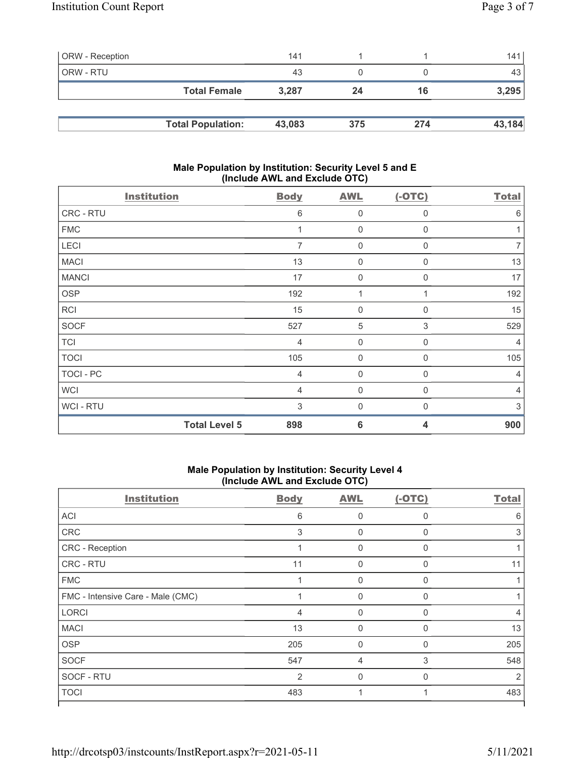| <b>ORW</b> - Reception |                          | 141    |     |     | 141    |
|------------------------|--------------------------|--------|-----|-----|--------|
| ORW - RTU              |                          | 43     |     |     | 43     |
|                        | <b>Total Female</b>      | 3.287  | 24  | 16  | 3,295  |
|                        |                          |        |     |     |        |
|                        | <b>Total Population:</b> | 43,083 | 375 | 274 | 43,184 |

## Male Population by Institution: Security Level 5 and E (Include AWL and Exclude OTC)

| <b>Institution</b>   | <b>Body</b>    | <b>AWL</b>       | $(-OTC)$                | <b>Total</b>   |
|----------------------|----------------|------------------|-------------------------|----------------|
| CRC - RTU            | 6              | $\mathbf 0$      | $\mathbf 0$             | 6              |
| <b>FMC</b>           |                | $\mathbf 0$      | 0                       |                |
| LECI                 | $\overline{7}$ | $\boldsymbol{0}$ | 0                       | $\overline{7}$ |
| <b>MACI</b>          | 13             | $\boldsymbol{0}$ | 0                       | 13             |
| <b>MANCI</b>         | 17             | $\mathbf{0}$     | $\Omega$                | 17             |
| <b>OSP</b>           | 192            | 1                |                         | 192            |
| <b>RCI</b>           | 15             | $\mathbf 0$      | 0                       | 15             |
| <b>SOCF</b>          | 527            | $\sqrt{5}$       | 3                       | 529            |
| <b>TCI</b>           | $\overline{4}$ | $\mathbf 0$      | 0                       | 4              |
| <b>TOCI</b>          | 105            | $\boldsymbol{0}$ | $\Omega$                | 105            |
| TOCI - PC            | $\overline{4}$ | $\overline{0}$   | $\Omega$                | $\overline{4}$ |
| <b>WCI</b>           | $\overline{4}$ | $\boldsymbol{0}$ | 0                       | $\overline{4}$ |
| <b>WCI-RTU</b>       | 3              | $\mathbf{0}$     | $\Omega$                | 3              |
| <b>Total Level 5</b> | 898            | $6\phantom{1}6$  | $\overline{\mathbf{4}}$ | 900            |

# Male Population by Institution: Security Level 4 (Include AWL and Exclude OTC)

| <b>Institution</b>                | <b>Body</b>    | <b>AWL</b> | $(-OTC)$ | <b>Total</b> |
|-----------------------------------|----------------|------------|----------|--------------|
| <b>ACI</b>                        | 6              | 0          | $\Omega$ | 6            |
| CRC                               | 3              | 0          | $\Omega$ | 3            |
| CRC - Reception                   |                | 0          | $\Omega$ |              |
| CRC - RTU                         | 11             | 0          | $\Omega$ | 11           |
| <b>FMC</b>                        |                | 0          | $\Omega$ |              |
| FMC - Intensive Care - Male (CMC) |                | 0          | $\Omega$ |              |
| <b>LORCI</b>                      | 4              | 0          | $\Omega$ | 4            |
| <b>MACI</b>                       | 13             | 0          | $\Omega$ | 13           |
| <b>OSP</b>                        | 205            | $\Omega$   | $\Omega$ | 205          |
| <b>SOCF</b>                       | 547            | 4          | 3        | 548          |
| SOCF - RTU                        | $\overline{2}$ | 0          | $\Omega$ | 2            |
| <b>TOCI</b>                       | 483            |            |          | 483          |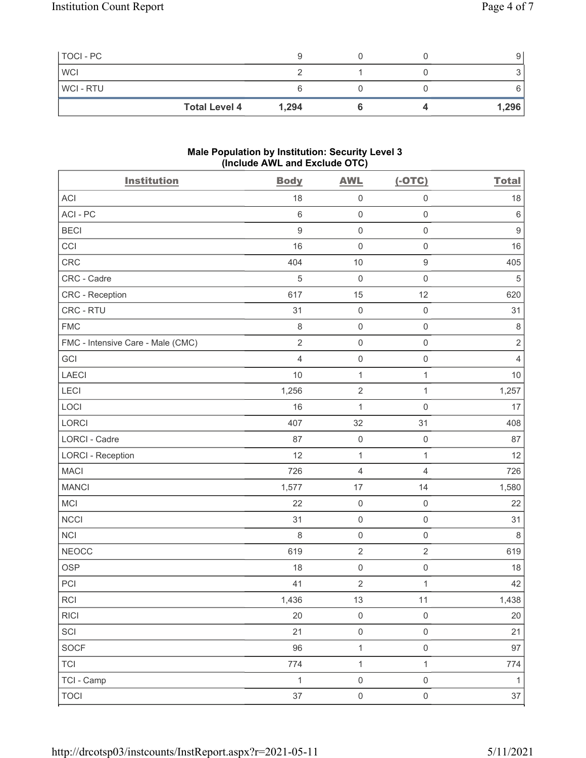| TOCI - PC      |                      |       |  | У     |
|----------------|----------------------|-------|--|-------|
| <b>WCI</b>     |                      |       |  |       |
| <b>WCI-RTU</b> |                      |       |  |       |
|                | <b>Total Level 4</b> | 1,294 |  | 1,296 |

#### Male Population by Institution: Security Level 3 (Include AWL and Exclude OTC)

| <b>Institution</b>                | <b>Body</b>    | <b>AWL</b>          | $(-OTC)$            | <b>Total</b>     |
|-----------------------------------|----------------|---------------------|---------------------|------------------|
| <b>ACI</b>                        | 18             | $\mathsf{O}\xspace$ | $\mathsf 0$         | 18               |
| ACI-PC                            | $6\,$          | $\mathsf{O}\xspace$ | $\mathsf{O}\xspace$ | $\,6\,$          |
| <b>BECI</b>                       | $9\,$          | $\mathsf 0$         | $\mathsf{O}\xspace$ | $\boldsymbol{9}$ |
| CCI                               | 16             | $\mathsf{O}\xspace$ | $\mathsf{O}\xspace$ | 16               |
| <b>CRC</b>                        | 404            | $10$                | $\boldsymbol{9}$    | 405              |
| CRC - Cadre                       | 5              | $\mathbf 0$         | $\mathsf{O}\xspace$ | $\mathbf 5$      |
| CRC - Reception                   | 617            | 15                  | 12                  | 620              |
| CRC - RTU                         | 31             | $\mathbf 0$         | $\mathsf 0$         | 31               |
| <b>FMC</b>                        | $\,8\,$        | $\mathsf{O}\xspace$ | $\mathsf{O}\xspace$ | $\,8\,$          |
| FMC - Intensive Care - Male (CMC) | $\overline{2}$ | $\mathbf 0$         | $\mathsf{O}\xspace$ | $\overline{2}$   |
| GCI                               | $\overline{4}$ | $\mathsf{O}\xspace$ | $\mathsf 0$         | $\overline{4}$   |
| LAECI                             | 10             | 1                   | $\mathbf{1}$        | 10               |
| LECI                              | 1,256          | $\sqrt{2}$          | $\mathbf{1}$        | 1,257            |
| LOCI                              | 16             | $\mathbf{1}$        | $\mathbf 0$         | 17               |
| LORCI                             | 407            | 32                  | 31                  | 408              |
| <b>LORCI - Cadre</b>              | 87             | $\mathbf 0$         | $\mathsf{O}\xspace$ | 87               |
| <b>LORCI - Reception</b>          | 12             | $\mathbf{1}$        | $\mathbf{1}$        | 12               |
| <b>MACI</b>                       | 726            | $\sqrt{4}$          | $\overline{4}$      | 726              |
| <b>MANCI</b>                      | 1,577          | 17                  | 14                  | 1,580            |
| MCI                               | 22             | $\mathsf 0$         | $\mathsf 0$         | 22               |
| <b>NCCI</b>                       | 31             | $\mathbf 0$         | $\mathsf 0$         | 31               |
| NCI                               | 8              | $\mathsf 0$         | $\mathsf 0$         | $\,8\,$          |
| <b>NEOCC</b>                      | 619            | $\sqrt{2}$          | $\sqrt{2}$          | 619              |
| <b>OSP</b>                        | 18             | $\mathsf{O}\xspace$ | $\mathsf 0$         | 18               |
| PCI                               | 41             | $\overline{2}$      | $\mathbf{1}$        | 42               |
| $\sf RCI$                         | 1,436          | $13$                | 11                  | 1,438            |
| <b>RICI</b>                       | 20             | $\mathbf 0$         | $\mathsf 0$         | $20\,$           |
| SCI                               | 21             | $\mathsf 0$         | $\mathsf 0$         | 21               |
| <b>SOCF</b>                       | 96             | $\mathbf{1}$        | $\mathsf{O}\xspace$ | 97               |
| <b>TCI</b>                        | 774            | $\mathbf{1}$        | $\mathbf{1}$        | 774              |
| TCI - Camp                        | $\mathbf{1}$   | $\mathsf 0$         | $\mathsf 0$         | $\mathbf{1}$     |
| <b>TOCI</b>                       | $37\,$         | $\mathsf{O}\xspace$ | $\mathsf{O}\xspace$ | $37\,$           |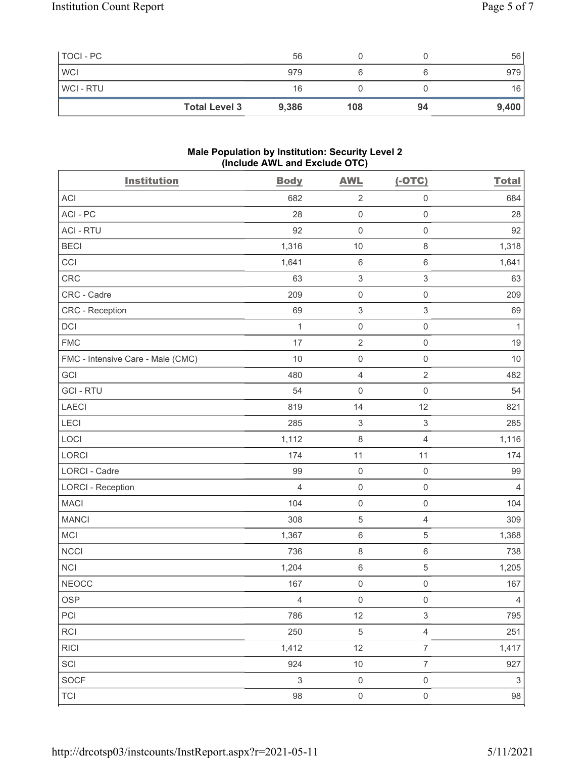| TOCI - PC      |                      | 56    |     |    | 56    |
|----------------|----------------------|-------|-----|----|-------|
| <b>WCI</b>     |                      | 979   |     |    | 979   |
| <b>WCI-RTU</b> |                      | 16    |     |    | 16    |
|                | <b>Total Level 3</b> | 9,386 | 108 | 94 | 9,400 |

#### Male Population by Institution: Security Level 2 (Include AWL and Exclude OTC)

| <b>Institution</b>                | <b>Body</b>    | <b>AWL</b>                | $(-OTC)$                  | <b>Total</b>              |
|-----------------------------------|----------------|---------------------------|---------------------------|---------------------------|
| <b>ACI</b>                        | 682            | $\sqrt{2}$                | $\mathsf 0$               | 684                       |
| ACI-PC                            | 28             | $\mathsf 0$               | $\mathsf{O}\xspace$       | 28                        |
| <b>ACI - RTU</b>                  | 92             | $\mathsf 0$               | $\mathsf{O}\xspace$       | 92                        |
| <b>BECI</b>                       | 1,316          | 10                        | $\,8\,$                   | 1,318                     |
| CCI                               | 1,641          | $\,6\,$                   | $\,6\,$                   | 1,641                     |
| CRC                               | 63             | $\sqrt{3}$                | $\ensuremath{\mathsf{3}}$ | 63                        |
| CRC - Cadre                       | 209            | $\mathsf 0$               | $\mathsf{O}\xspace$       | 209                       |
| CRC - Reception                   | 69             | $\ensuremath{\mathsf{3}}$ | $\,$ 3 $\,$               | 69                        |
| DCI                               | 1              | $\mathsf{O}\xspace$       | $\mathsf{O}\xspace$       | 1                         |
| <b>FMC</b>                        | 17             | $\sqrt{2}$                | $\mathsf{O}$              | 19                        |
| FMC - Intensive Care - Male (CMC) | 10             | $\mathsf{O}\xspace$       | $\mathsf{O}\xspace$       | 10                        |
| GCI                               | 480            | $\overline{4}$            | $\sqrt{2}$                | 482                       |
| <b>GCI-RTU</b>                    | 54             | $\mathsf 0$               | $\mathsf{O}\xspace$       | 54                        |
| <b>LAECI</b>                      | 819            | 14                        | 12                        | 821                       |
| LECI                              | 285            | $\,$ 3 $\,$               | $\sqrt{3}$                | 285                       |
| LOCI                              | 1,112          | $\,8\,$                   | $\overline{4}$            | 1,116                     |
| LORCI                             | 174            | 11                        | 11                        | 174                       |
| <b>LORCI - Cadre</b>              | 99             | $\mathsf 0$               | $\mathbf 0$               | 99                        |
| <b>LORCI - Reception</b>          | $\overline{4}$ | $\mathsf{O}\xspace$       | $\mathsf{O}\xspace$       | $\overline{4}$            |
| <b>MACI</b>                       | 104            | $\mathsf{O}\xspace$       | $\mathsf{O}\xspace$       | 104                       |
| <b>MANCI</b>                      | 308            | $\mathbf 5$               | $\overline{4}$            | 309                       |
| MCI                               | 1,367          | $\,6\,$                   | 5                         | 1,368                     |
| <b>NCCI</b>                       | 736            | $\,8\,$                   | $\,6\,$                   | 738                       |
| <b>NCI</b>                        | 1,204          | $\,6\,$                   | 5                         | 1,205                     |
| <b>NEOCC</b>                      | 167            | $\mathsf{O}\xspace$       | $\mathsf{O}\xspace$       | 167                       |
| OSP                               | $\overline{4}$ | $\mathsf{O}\xspace$       | $\mathsf{O}\xspace$       | $\overline{4}$            |
| PCI                               | 786            | 12                        | $\mathfrak{S}$            | 795                       |
| <b>RCI</b>                        | 250            | $\,$ 5 $\,$               | $\overline{4}$            | 251                       |
| <b>RICI</b>                       | 1,412          | 12                        | $\overline{7}$            | 1,417                     |
| SCI                               | 924            | $10$                      | $\boldsymbol{7}$          | 927                       |
| <b>SOCF</b>                       | $\sqrt{3}$     | $\mathsf{O}\xspace$       | $\mathsf 0$               | $\ensuremath{\mathsf{3}}$ |
| <b>TCI</b>                        | $98\,$         | $\mathsf 0$               | $\mathsf{O}\xspace$       | $98\,$                    |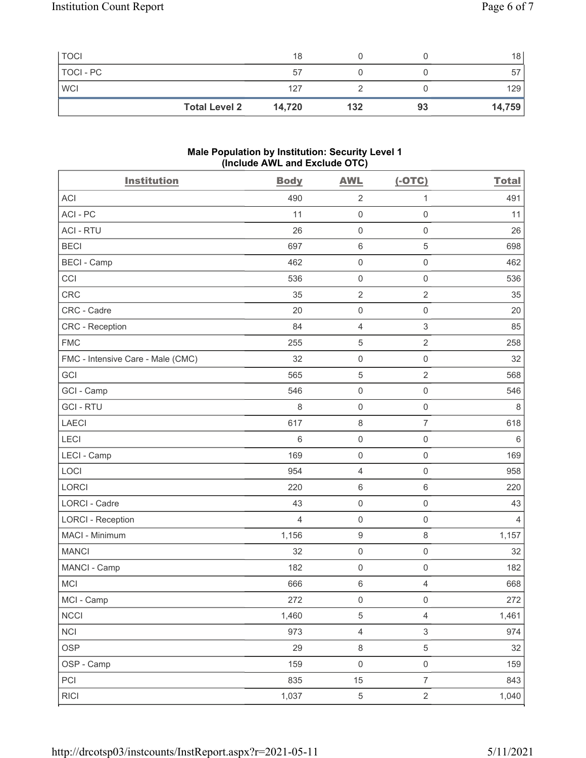| <b>TOCI</b> |                      | 18     |     |    | 18     |
|-------------|----------------------|--------|-----|----|--------|
| TOCI - PC   |                      | 57     |     |    |        |
| <b>WCI</b>  |                      | 127    |     |    | 129    |
|             | <b>Total Level 2</b> | 14,720 | 132 | 93 | 14,759 |

#### Male Population by Institution: Security Level 1 (Include AWL and Exclude OTC)

| <b>Institution</b>                | <b>Body</b>    | <b>AWL</b>          | $(-OTC)$                  | <b>Total</b>   |
|-----------------------------------|----------------|---------------------|---------------------------|----------------|
| <b>ACI</b>                        | 490            | $\overline{2}$      | 1                         | 491            |
| ACI-PC                            | 11             | $\mathsf{O}\xspace$ | $\mathbf 0$               | 11             |
| <b>ACI - RTU</b>                  | 26             | $\mathsf{O}\xspace$ | $\mathsf{O}\xspace$       | 26             |
| <b>BECI</b>                       | 697            | $\,6\,$             | $\sqrt{5}$                | 698            |
| <b>BECI - Camp</b>                | 462            | $\mathsf{O}\xspace$ | $\mathsf 0$               | 462            |
| CCI                               | 536            | $\mathsf{O}\xspace$ | $\mathsf 0$               | 536            |
| <b>CRC</b>                        | 35             | $\sqrt{2}$          | $\overline{2}$            | 35             |
| CRC - Cadre                       | 20             | $\mathsf{O}\xspace$ | $\mathsf 0$               | 20             |
| CRC - Reception                   | 84             | $\overline{4}$      | $\sqrt{3}$                | 85             |
| <b>FMC</b>                        | 255            | 5                   | $\overline{2}$            | 258            |
| FMC - Intensive Care - Male (CMC) | 32             | $\mathsf{O}\xspace$ | $\mathsf{O}\xspace$       | 32             |
| GCI                               | 565            | $\mathbf 5$         | $\overline{2}$            | 568            |
| GCI - Camp                        | 546            | $\mathsf{O}\xspace$ | $\mathsf 0$               | 546            |
| <b>GCI-RTU</b>                    | 8              | $\mathsf{O}\xspace$ | $\mathsf 0$               | 8              |
| <b>LAECI</b>                      | 617            | $\,8\,$             | $\overline{7}$            | 618            |
| LECI                              | 6              | $\mathsf{O}\xspace$ | $\mathsf{O}\xspace$       | $\,6\,$        |
| LECI - Camp                       | 169            | $\mathsf{O}\xspace$ | $\mathsf 0$               | 169            |
| LOCI                              | 954            | $\overline{4}$      | $\mathsf 0$               | 958            |
| <b>LORCI</b>                      | 220            | $\,6\,$             | $\,6\,$                   | 220            |
| <b>LORCI - Cadre</b>              | 43             | $\mathsf{O}\xspace$ | $\mathsf 0$               | 43             |
| <b>LORCI - Reception</b>          | $\overline{4}$ | $\mathbf 0$         | $\mathsf{O}\xspace$       | $\overline{4}$ |
| MACI - Minimum                    | 1,156          | $\boldsymbol{9}$    | $\,8\,$                   | 1,157          |
| <b>MANCI</b>                      | 32             | $\mathsf{O}\xspace$ | $\mathsf 0$               | 32             |
| MANCI - Camp                      | 182            | $\mathbf 0$         | $\mathsf{O}\xspace$       | 182            |
| MCI                               | 666            | $\,6\,$             | $\overline{4}$            | 668            |
| MCI - Camp                        | 272            | $\mathsf{O}\xspace$ | $\mathsf{O}\xspace$       | 272            |
| <b>NCCI</b>                       | 1,460          | $\mathbf 5$         | $\overline{4}$            | 1,461          |
| <b>NCI</b>                        | 973            | $\sqrt{4}$          | $\ensuremath{\mathsf{3}}$ | 974            |
| <b>OSP</b>                        | 29             | $\,8\,$             | $\sqrt{5}$                | 32             |
| OSP - Camp                        | 159            | $\mathsf{O}\xspace$ | $\mathsf{O}\xspace$       | 159            |
| PCI                               | 835            | 15                  | $\overline{7}$            | 843            |
| <b>RICI</b>                       | 1,037          | $\,$ 5 $\,$         | $\sqrt{2}$                | 1,040          |